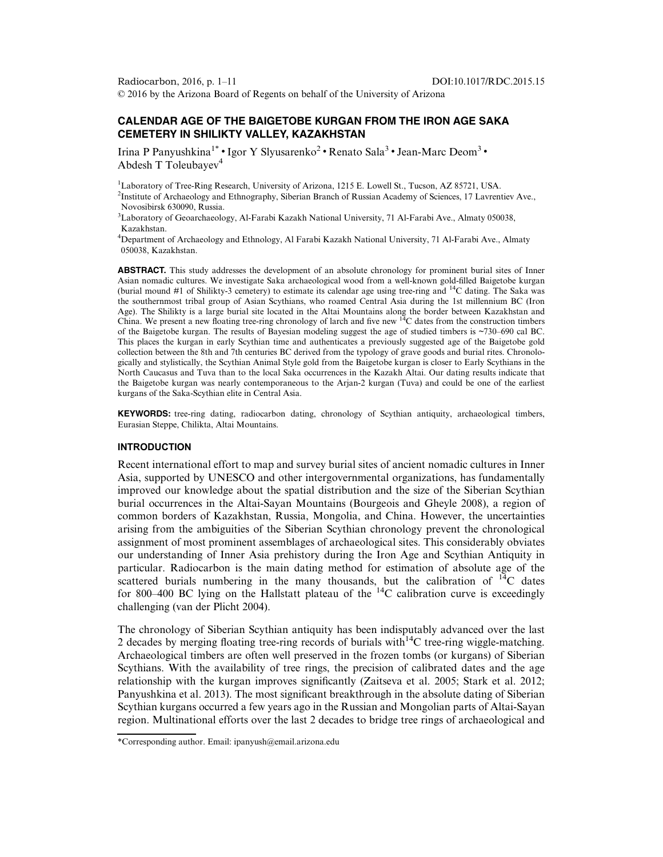Radiocarbon, 2016, p. 1–11 DOI:10.1017/RDC.2015.15 © 2016 by the Arizona Board of Regents on behalf of the University of Arizona

# CALENDAR AGE OF THE BAIGETOBE KURGAN FROM THE IRON AGE SAKA CEMETERY IN SHILIKTY VALLEY, KAZAKHSTAN

Irina P Panyushkina<sup>1\*</sup> • Igor Y Slyusarenko<sup>2</sup> • Renato Sala<sup>3</sup> • Jean-Marc Deom<sup>3</sup> • Abdesh T Toleubayev $4$ 

<sup>1</sup>Laboratory of Tree-Ring Research, University of Arizona, 1215 E. Lowell St., Tucson, AZ 85721, USA. <sup>2</sup>Institute of Archaeology and Ethnography, Siberian Branch of Russian Academy of Sciences, 17 Lavrentiev Ave., Novosibirsk 630090, Russia.

3 Laboratory of Geoarchaeology, Al-Farabi Kazakh National University, 71 Al-Farabi Ave., Almaty 050038, Kazakhstan.

4 Department of Archaeology and Ethnology, Al Farabi Kazakh National University, 71 Al-Farabi Ave., Almaty 050038, Kazakhstan.

ABSTRACT. This study addresses the development of an absolute chronology for prominent burial sites of Inner Asian nomadic cultures. We investigate Saka archaeological wood from a well-known gold-filled Baigetobe kurgan (burial mound #1 of Shilikty-3 cemetery) to estimate its calendar age using tree-ring and 14C dating. The Saka was the southernmost tribal group of Asian Scythians, who roamed Central Asia during the 1st millennium BC (Iron Age). The Shilikty is a large burial site located in the Altai Mountains along the border between Kazakhstan and China. We present a new floating tree-ring chronology of larch and five new  $14C$  dates from the construction timbers of the Baigetobe kurgan. The results of Bayesian modeling suggest the age of studied timbers is ~730–690 cal BC. This places the kurgan in early Scythian time and authenticates a previously suggested age of the Baigetobe gold collection between the 8th and 7th centuries BC derived from the typology of grave goods and burial rites. Chronologically and stylistically, the Scythian Animal Style gold from the Baigetobe kurgan is closer to Early Scythians in the North Caucasus and Tuva than to the local Saka occurrences in the Kazakh Altai. Our dating results indicate that the Baigetobe kurgan was nearly contemporaneous to the Arjan-2 kurgan (Tuva) and could be one of the earliest kurgans of the Saka-Scythian elite in Central Asia.

KEYWORDS: tree-ring dating, radiocarbon dating, chronology of Scythian antiquity, archaeological timbers, Eurasian Steppe, Chilikta, Altai Mountains.

# INTRODUCTION

Recent international effort to map and survey burial sites of ancient nomadic cultures in Inner Asia, supported by UNESCO and other intergovernmental organizations, has fundamentally improved our knowledge about the spatial distribution and the size of the Siberian Scythian burial occurrences in the Altai-Sayan Mountains (Bourgeois and Gheyle [2008\)](#page-9-0), a region of common borders of Kazakhstan, Russia, Mongolia, and China. However, the uncertainties arising from the ambiguities of the Siberian Scythian chronology prevent the chronological assignment of most prominent assemblages of archaeological sites. This considerably obviates our understanding of Inner Asia prehistory during the Iron Age and Scythian Antiquity in particular. Radiocarbon is the main dating method for estimation of absolute age of the scattered burials numbering in the many thousands, but the calibration of  $14C$  dates for 800–400 BC lying on the Hallstatt plateau of the  $^{14}$ C calibration curve is exceedingly challenging (van der Plicht [2004\)](#page-10-0).

The chronology of Siberian Scythian antiquity has been indisputably advanced over the last 2 decades by merging floating tree-ring records of burials with<sup>14</sup>C tree-ring wiggle-matching. Archaeological timbers are often well preserved in the frozen tombs (or kurgans) of Siberian Scythians. With the availability of tree rings, the precision of calibrated dates and the age relationship with the kurgan improves significantly (Zaitseva et al. [2005](#page-10-0); Stark et al. [2012;](#page-10-0) Panyushkina et al. [2013\)](#page-10-0). The most significant breakthrough in the absolute dating of Siberian Scythian kurgans occurred a few years ago in the Russian and Mongolian parts of Altai-Sayan region. Multinational efforts over the last 2 decades to bridge tree rings of archaeological and

<sup>\*</sup>Corresponding author. Email: ipanyush@email.arizona.edu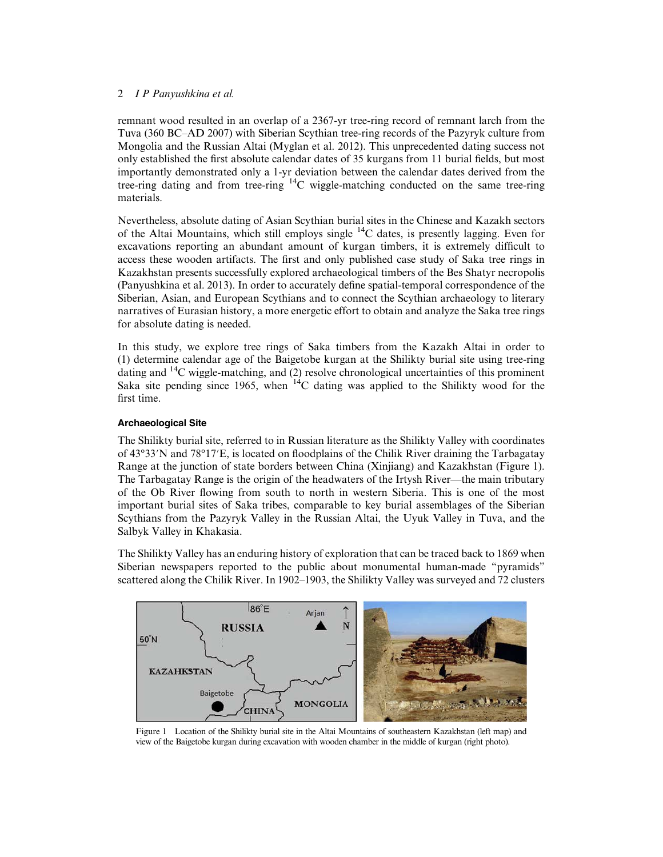<span id="page-1-0"></span>remnant wood resulted in an overlap of a 2367-yr tree-ring record of remnant larch from the Tuva (360 BC–AD 2007) with Siberian Scythian tree-ring records of the Pazyryk culture from Mongolia and the Russian Altai (Myglan et al. [2012](#page-10-0)). This unprecedented dating success not only established the first absolute calendar dates of 35 kurgans from 11 burial fields, but most importantly demonstrated only a 1-yr deviation between the calendar dates derived from the tree-ring dating and from tree-ring  $^{14}$ C wiggle-matching conducted on the same tree-ring materials.

Nevertheless, absolute dating of Asian Scythian burial sites in the Chinese and Kazakh sectors of the Altai Mountains, which still employs single 14C dates, is presently lagging. Even for excavations reporting an abundant amount of kurgan timbers, it is extremely difficult to access these wooden artifacts. The first and only published case study of Saka tree rings in Kazakhstan presents successfully explored archaeological timbers of the Bes Shatyr necropolis (Panyushkina et al. [2013](#page-10-0)). In order to accurately define spatial-temporal correspondence of the Siberian, Asian, and European Scythians and to connect the Scythian archaeology to literary narratives of Eurasian history, a more energetic effort to obtain and analyze the Saka tree rings for absolute dating is needed.

In this study, we explore tree rings of Saka timbers from the Kazakh Altai in order to (1) determine calendar age of the Baigetobe kurgan at the Shilikty burial site using tree-ring dating and  $^{14}$ C wiggle-matching, and (2) resolve chronological uncertainties of this prominent Saka site pending since 1965, when  $14C$  dating was applied to the Shilikty wood for the first time.

# Archaeological Site

The Shilikty burial site, referred to in Russian literature as the Shilikty Valley with coordinates of 43°33′N and 78°17′E, is located on floodplains of the Chilik River draining the Tarbagatay Range at the junction of state borders between China (Xinjiang) and Kazakhstan (Figure 1). The Tarbagatay Range is the origin of the headwaters of the Irtysh River—the main tributary of the Ob River flowing from south to north in western Siberia. This is one of the most important burial sites of Saka tribes, comparable to key burial assemblages of the Siberian Scythians from the Pazyryk Valley in the Russian Altai, the Uyuk Valley in Tuva, and the Salbyk Valley in Khakasia.

The Shilikty Valley has an enduring history of exploration that can be traced back to 1869 when Siberian newspapers reported to the public about monumental human-made "pyramids" scattered along the Chilik River. In 1902–1903, the Shilikty Valley was surveyed and 72 clusters



Figure 1 Location of the Shilikty burial site in the Altai Mountains of southeastern Kazakhstan (left map) and view of the Baigetobe kurgan during excavation with wooden chamber in the middle of kurgan (right photo).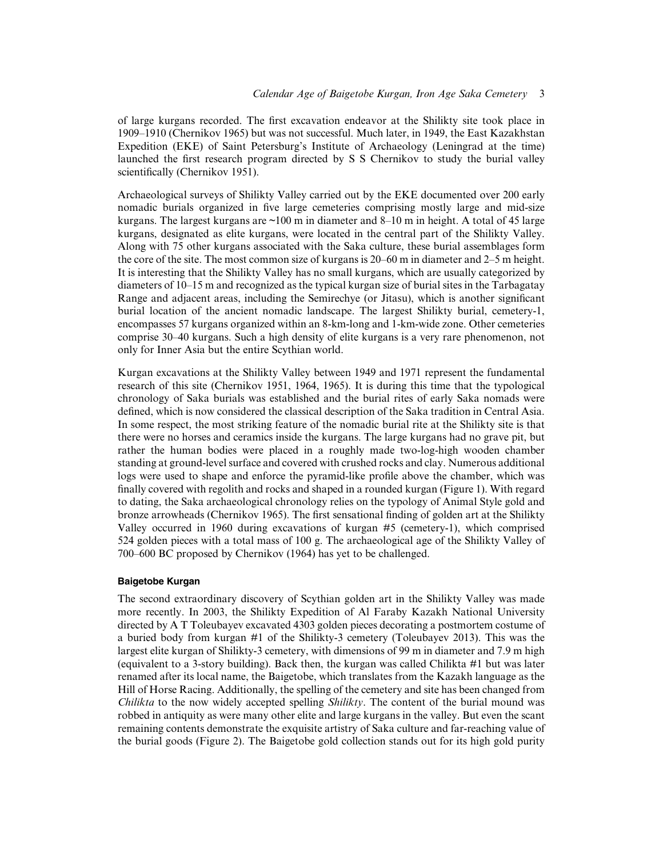of large kurgans recorded. The first excavation endeavor at the Shilikty site took place in 1909–1910 (Chernikov [1965](#page-9-0)) but was not successful. Much later, in 1949, the East Kazakhstan Expedition (EKE) of Saint Petersburg's Institute of Archaeology (Leningrad at the time) launched the first research program directed by S S Chernikov to study the burial valley scientifically (Chernikov [1951\)](#page-9-0).

Archaeological surveys of Shilikty Valley carried out by the EKE documented over 200 early nomadic burials organized in five large cemeteries comprising mostly large and mid-size kurgans. The largest kurgans are  $\sim$ 100 m in diameter and 8–10 m in height. A total of 45 large kurgans, designated as elite kurgans, were located in the central part of the Shilikty Valley. Along with 75 other kurgans associated with the Saka culture, these burial assemblages form the core of the site. The most common size of kurgans is 20–60 m in diameter and 2–5 m height. It is interesting that the Shilikty Valley has no small kurgans, which are usually categorized by diameters of 10–15 m and recognized as the typical kurgan size of burial sites in the Tarbagatay Range and adjacent areas, including the Semirechye (or Jitasu), which is another significant burial location of the ancient nomadic landscape. The largest Shilikty burial, cemetery-1, encompasses 57 kurgans organized within an 8-km-long and 1-km-wide zone. Other cemeteries comprise 30–40 kurgans. Such a high density of elite kurgans is a very rare phenomenon, not only for Inner Asia but the entire Scythian world.

Kurgan excavations at the Shilikty Valley between 1949 and 1971 represent the fundamental research of this site (Chernikov [1951](#page-9-0), [1964](#page-9-0), [1965](#page-9-0)). It is during this time that the typological chronology of Saka burials was established and the burial rites of early Saka nomads were defined, which is now considered the classical description of the Saka tradition in Central Asia. In some respect, the most striking feature of the nomadic burial rite at the Shilikty site is that there were no horses and ceramics inside the kurgans. The large kurgans had no grave pit, but rather the human bodies were placed in a roughly made two-log-high wooden chamber standing at ground-level surface and covered with crushed rocks and clay. Numerous additional logs were used to shape and enforce the pyramid-like profile above the chamber, which was finally covered with regolith and rocks and shaped in a rounded kurgan ([Figure 1\)](#page-1-0). With regard to dating, the Saka archaeological chronology relies on the typology of Animal Style gold and bronze arrowheads (Chernikov [1965\)](#page-9-0). The first sensational finding of golden art at the Shilikty Valley occurred in 1960 during excavations of kurgan #5 (cemetery-1), which comprised 524 golden pieces with a total mass of 100 g. The archaeological age of the Shilikty Valley of 700–600 BC proposed by Chernikov [\(1964](#page-9-0)) has yet to be challenged.

### Baigetobe Kurgan

The second extraordinary discovery of Scythian golden art in the Shilikty Valley was made more recently. In 2003, the Shilikty Expedition of Al Faraby Kazakh National University directed by A T Toleubayev excavated 4303 golden pieces decorating a postmortem costume of a buried body from kurgan #1 of the Shilikty-3 cemetery (Toleubayev [2013\)](#page-10-0). This was the largest elite kurgan of Shilikty-3 cemetery, with dimensions of 99 m in diameter and 7.9 m high (equivalent to a 3-story building). Back then, the kurgan was called Chilikta #1 but was later renamed after its local name, the Baigetobe, which translates from the Kazakh language as the Hill of Horse Racing. Additionally, the spelling of the cemetery and site has been changed from Chilikta to the now widely accepted spelling Shilikty. The content of the burial mound was robbed in antiquity as were many other elite and large kurgans in the valley. But even the scant remaining contents demonstrate the exquisite artistry of Saka culture and far-reaching value of the burial goods [\(Figure 2](#page-3-0)). The Baigetobe gold collection stands out for its high gold purity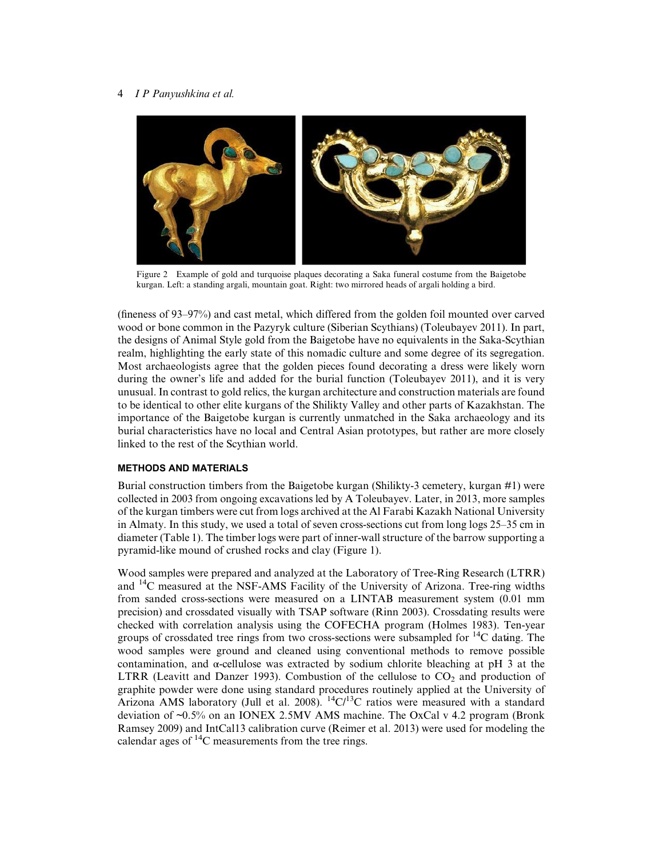<span id="page-3-0"></span>

Figure 2 Example of gold and turquoise plaques decorating a Saka funeral costume from the Baigetobe kurgan. Left: a standing argali, mountain goat. Right: two mirrored heads of argali holding a bird.

(fineness of 93–97%) and cast metal, which differed from the golden foil mounted over carved wood or bone common in the Pazyryk culture (Siberian Scythians) (Toleubayev [2011](#page-10-0)). In part, the designs of Animal Style gold from the Baigetobe have no equivalents in the Saka-Scythian realm, highlighting the early state of this nomadic culture and some degree of its segregation. Most archaeologists agree that the golden pieces found decorating a dress were likely worn during the owner's life and added for the burial function (Toleubayev [2011\)](#page-10-0), and it is very unusual. In contrast to gold relics, the kurgan architecture and construction materials are found to be identical to other elite kurgans of the Shilikty Valley and other parts of Kazakhstan. The importance of the Baigetobe kurgan is currently unmatched in the Saka archaeology and its burial characteristics have no local and Central Asian prototypes, but rather are more closely linked to the rest of the Scythian world.

## METHODS AND MATERIALS

Burial construction timbers from the Baigetobe kurgan (Shilikty-3 cemetery, kurgan #1) were collected in 2003 from ongoing excavations led by A Toleubayev. Later, in 2013, more samples of the kurgan timbers were cut from logs archived at the Al Farabi Kazakh National University in Almaty. In this study, we used a total of seven cross-sections cut from long logs 25–35 cm in diameter [\(Table 1](#page-4-0)). The timber logs were part of inner-wall structure of the barrow supporting a pyramid-like mound of crushed rocks and clay [\(Figure 1\)](#page-1-0).

Wood samples were prepared and analyzed at the Laboratory of Tree-Ring Research (LTRR) and 14C measured at the NSF-AMS Facility of the University of Arizona. Tree-ring widths from sanded cross-sections were measured on a LINTAB measurement system (0.01 mm precision) and crossdated visually with TSAP software (Rinn [2003](#page-10-0)). Crossdating results were checked with correlation analysis using the COFECHA program (Holmes [1983\)](#page-9-0). Ten-year groups of crossdated tree rings from two cross-sections were subsampled for  $^{14}C$  dating. The wood samples were ground and cleaned using conventional methods to remove possible contamination, and α-cellulose was extracted by sodium chlorite bleaching at pH 3 at the LTRR (Leavitt and Danzer [1993\)](#page-10-0). Combustion of the cellulose to  $CO<sub>2</sub>$  and production of graphite powder were done using standard procedures routinely applied at the University of Arizona AMS laboratory (Jull et al. [2008\)](#page-9-0).  ${}^{14}C/{}^{13}C$  ratios were measured with a standard deviation of ~0.5% on an IONEX 2.5MV AMS machine. The OxCal v 4.2 program (Bronk Ramsey [2009](#page-9-0)) and IntCal13 calibration curve (Reimer et al. [2013\)](#page-10-0) were used for modeling the calendar ages of  $^{14}$ C measurements from the tree rings.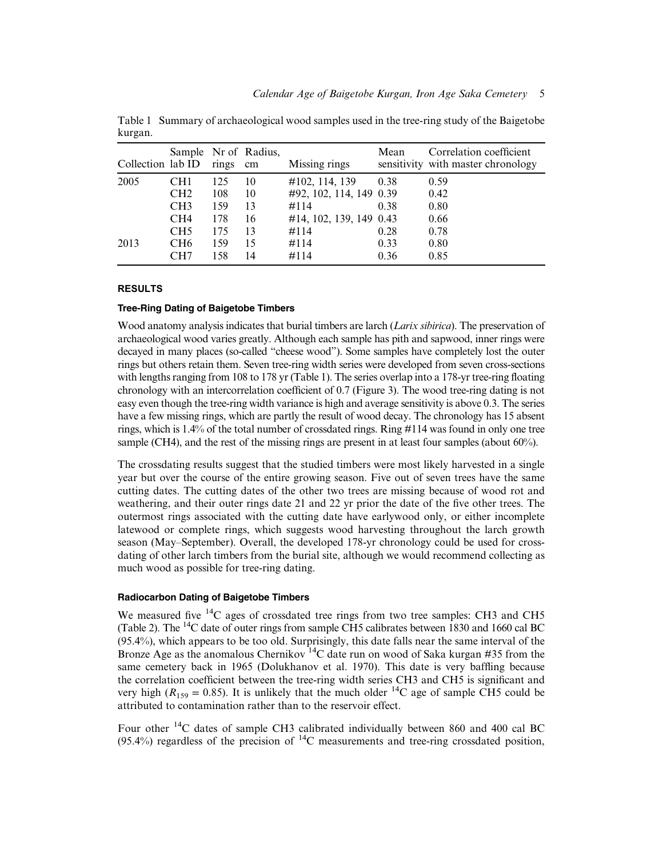| Collection lab ID |                 | rings | Sample Nr of Radius,<br>cm | Missing rings           | Mean | Correlation coefficient<br>sensitivity with master chronology |
|-------------------|-----------------|-------|----------------------------|-------------------------|------|---------------------------------------------------------------|
| 2005              | CH1             | 125   | 10                         | #102, 114, 139          | 0.38 | 0.59                                                          |
|                   | CH2             | 108   | 10                         | #92, 102, 114, 149 0.39 |      | 0.42                                                          |
|                   | CH <sub>3</sub> | 159   | 13                         | #114                    | 0.38 | 0.80                                                          |
|                   | CH4             | 178   | 16                         | #14, 102, 139, 149 0.43 |      | 0.66                                                          |
|                   | CH <sub>5</sub> | 175   | 13                         | #114                    | 0.28 | 0.78                                                          |
| 2013              | CH <sub>6</sub> | 159   | 15                         | #114                    | 0.33 | 0.80                                                          |
|                   | CH7             | 158   | 14                         | #114                    | 0.36 | 0.85                                                          |

<span id="page-4-0"></span>Table 1 Summary of archaeological wood samples used in the tree-ring study of the Baigetobe kurgan.

## RESULTS

### Tree-Ring Dating of Baigetobe Timbers

Wood anatomy analysis indicates that burial timbers are larch (*Larix sibirica*). The preservation of archaeological wood varies greatly. Although each sample has pith and sapwood, inner rings were decayed in many places (so-called "cheese wood"). Some samples have completely lost the outer rings but others retain them. Seven tree-ring width series were developed from seven cross-sections with lengths ranging from 108 to 178 yr (Table 1). The series overlap into a 178-yr tree-ring floating chronology with an intercorrelation coefficient of 0.7 ([Figure 3](#page-5-0)). The wood tree-ring dating is not easy even though the tree-ring width variance is high and average sensitivity is above 0.3. The series have a few missing rings, which are partly the result of wood decay. The chronology has 15 absent rings, which is 1.4% of the total number of crossdated rings. Ring #114 was found in only one tree sample (CH4), and the rest of the missing rings are present in at least four samples (about 60%).

The crossdating results suggest that the studied timbers were most likely harvested in a single year but over the course of the entire growing season. Five out of seven trees have the same cutting dates. The cutting dates of the other two trees are missing because of wood rot and weathering, and their outer rings date 21 and 22 yr prior the date of the five other trees. The outermost rings associated with the cutting date have earlywood only, or either incomplete latewood or complete rings, which suggests wood harvesting throughout the larch growth season (May–September). Overall, the developed 178-yr chronology could be used for crossdating of other larch timbers from the burial site, although we would recommend collecting as much wood as possible for tree-ring dating.

#### Radiocarbon Dating of Baigetobe Timbers

We measured five <sup>14</sup>C ages of crossdated tree rings from two tree samples: CH3 and CH5 ([Table 2](#page-6-0)). The 14C date of outer rings from sample CH5 calibrates between 1830 and 1660 cal BC (95.4%), which appears to be too old. Surprisingly, this date falls near the same interval of the Bronze Age as the anomalous Chernikov<sup>14</sup>C date run on wood of Saka kurgan #35 from the same cemetery back in 1965 (Dolukhanov et al. [1970](#page-9-0)). This date is very baffling because the correlation coefficient between the tree-ring width series CH3 and CH5 is significant and very high ( $R_{159} = 0.85$ ). It is unlikely that the much older <sup>14</sup>C age of sample CH5 could be attributed to contamination rather than to the reservoir effect.

Four other 14C dates of sample CH3 calibrated individually between 860 and 400 cal BC (95.4%) regardless of the precision of  ${}^{14}C$  measurements and tree-ring crossdated position,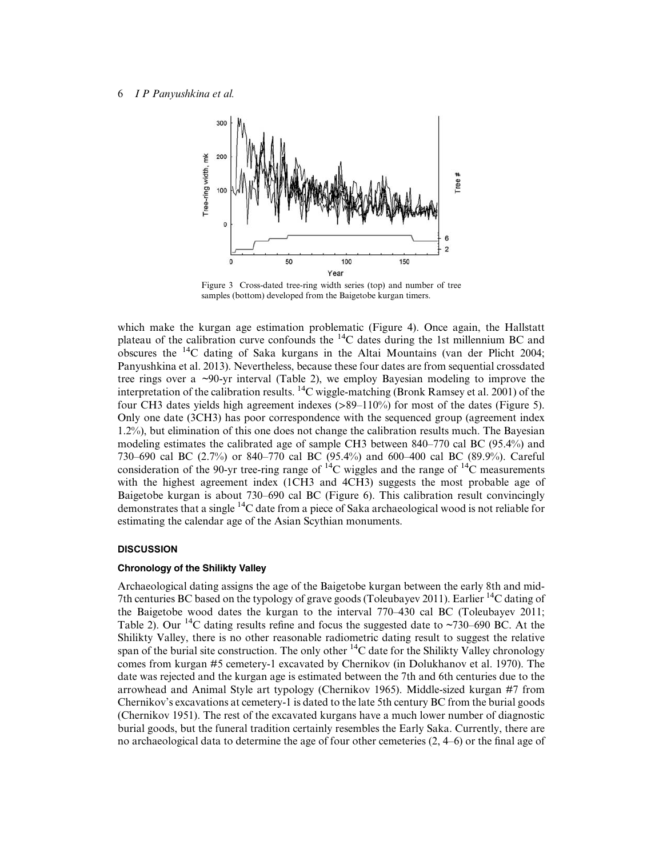<span id="page-5-0"></span>

Figure 3 Cross-dated tree-ring width series (top) and number of tree samples (bottom) developed from the Baigetobe kurgan timers.

which make the kurgan age estimation problematic ([Figure 4](#page-7-0)). Once again, the Hallstatt plateau of the calibration curve confounds the  $^{14}$ C dates during the 1st millennium BC and obscures the 14C dating of Saka kurgans in the Altai Mountains (van der Plicht [2004;](#page-10-0) Panyushkina et al. [2013\)](#page-10-0). Nevertheless, because these four dates are from sequential crossdated tree rings over a ~90-yr interval [\(Table 2\)](#page-6-0), we employ Bayesian modeling to improve the interpretation of the calibration results.  $^{14}$ C wiggle-matching (Bronk Ramsey et al. [2001\)](#page-9-0) of the four CH3 dates yields high agreement indexes (>89–110%) for most of the dates [\(Figure 5](#page-7-0)). Only one date (3CH3) has poor correspondence with the sequenced group (agreement index 1.2%), but elimination of this one does not change the calibration results much. The Bayesian modeling estimates the calibrated age of sample CH3 between 840–770 cal BC (95.4%) and 730–690 cal BC (2.7%) or 840–770 cal BC (95.4%) and 600–400 cal BC (89.9%). Careful consideration of the 90-yr tree-ring range of  $^{14}$ C wiggles and the range of  $^{14}$ C measurements with the highest agreement index (1CH3 and 4CH3) suggests the most probable age of Baigetobe kurgan is about 730–690 cal BC ([Figure 6\)](#page-8-0). This calibration result convincingly demonstrates that a single 14C date from a piece of Saka archaeological wood is not reliable for estimating the calendar age of the Asian Scythian monuments.

## **DISCUSSION**

#### Chronology of the Shilikty Valley

Archaeological dating assigns the age of the Baigetobe kurgan between the early 8th and mid-7th centuries BC based on the typology of grave goods (Toleubayev [2011](#page-10-0)). Earlier  $^{14}$ C dating of the Baigetobe wood dates the kurgan to the interval 770–430 cal BC (Toleubayev [2011;](#page-10-0) [Table 2](#page-6-0)). Our <sup>14</sup>C dating results refine and focus the suggested date to  $\sim$ 730–690 BC. At the Shilikty Valley, there is no other reasonable radiometric dating result to suggest the relative span of the burial site construction. The only other  ${}^{14}C$  date for the Shilikty Valley chronology comes from kurgan #5 cemetery-1 excavated by Chernikov (in Dolukhanov et al. [1970\)](#page-9-0). The date was rejected and the kurgan age is estimated between the 7th and 6th centuries due to the arrowhead and Animal Style art typology (Chernikov [1965\)](#page-9-0). Middle-sized kurgan #7 from Chernikov's excavations at cemetery-1 is dated to the late 5th century BC from the burial goods (Chernikov [1951](#page-9-0)). The rest of the excavated kurgans have a much lower number of diagnostic burial goods, but the funeral tradition certainly resembles the Early Saka. Currently, there are no archaeological data to determine the age of four other cemeteries (2, 4–6) or the final age of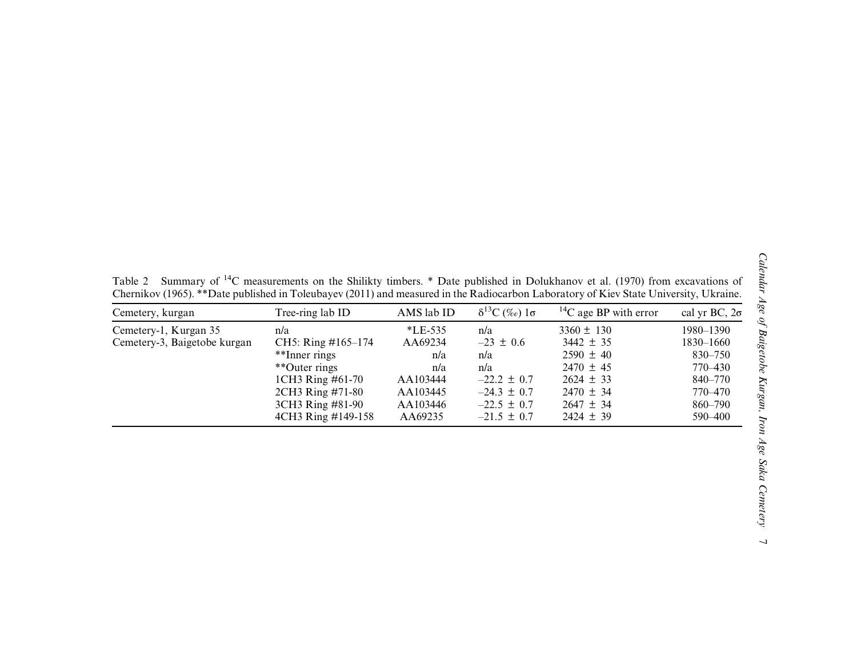<span id="page-6-0"></span>Table 2 Summary of  $14C$  measurements on the Shilikty timbers. \* Date published in Dolukhanov et al. [\(1970](#page-9-0)) from excavations of Chernikov ([1965\)](#page-9-0). \*\*Date published in Toleubayev ([2011\)](#page-10-0) and measured in the Radiocarbon Laboratory of Kiev State University, Ukraine.

| Cemetery, kurgan             | Tree-ring lab ID   | AMS lab ID | $\delta^{13}C$ (%o) $1\sigma$ | <sup>14</sup> C age BP with error | cal yr BC, $2\sigma$ |
|------------------------------|--------------------|------------|-------------------------------|-----------------------------------|----------------------|
| Cemetery-1, Kurgan 35        | n/a                | $*LE-535$  | n/a                           | $3360 \pm 130$                    | 1980-1390            |
| Cemetery-3, Baigetobe kurgan | CH5: Ring #165-174 | AA69234    | $-23 \pm 0.6$                 | $3442 \pm 35$                     | 1830–1660            |
|                              | **Inner rings      | n/a        | n/a                           | $2590 \pm 40$                     | 830–750              |
|                              | **Outer rings      | n/a        | n/a                           | $2470 \pm 45$                     | 770–430              |
|                              | 1CH3 Ring #61-70   | AA103444   | $-22.2 \pm 0.7$               | $2624 \pm 33$                     | 840–770              |
|                              | 2CH3 Ring #71-80   | AA103445   | $-24.3 \pm 0.7$               | $2470 \pm 34$                     | 770–470              |
|                              | 3CH3 Ring #81-90   | AA103446   | $-22.5 \pm 0.7$               | $2647 \pm 34$                     | 860–790              |
|                              | 4CH3 Ring #149-158 | AA69235    | $-21.5 \pm 0.7$               | $2424 \pm 39$                     | 590-400              |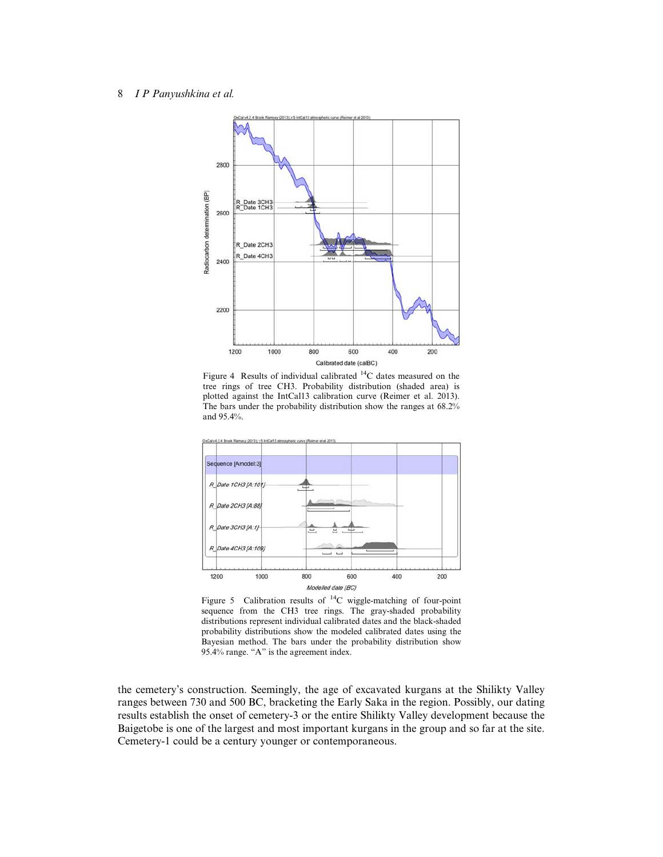<span id="page-7-0"></span>

Figure 4 Results of individual calibrated 14C dates measured on the tree rings of tree CH3. Probability distribution (shaded area) is plotted against the IntCal13 calibration curve (Reimer et al. [2013\)](#page-10-0). The bars under the probability distribution show the ranges at 68.2% and 95.4%.



Figure 5 Calibration results of <sup>14</sup>C wiggle-matching of four-point sequence from the CH3 tree rings. The gray-shaded probability distributions represent individual calibrated dates and the black-shaded probability distributions show the modeled calibrated dates using the Bayesian method. The bars under the probability distribution show 95.4% range. "A" is the agreement index.

the cemetery's construction. Seemingly, the age of excavated kurgans at the Shilikty Valley ranges between 730 and 500 BC, bracketing the Early Saka in the region. Possibly, our dating results establish the onset of cemetery-3 or the entire Shilikty Valley development because the Baigetobe is one of the largest and most important kurgans in the group and so far at the site. Cemetery-1 could be a century younger or contemporaneous.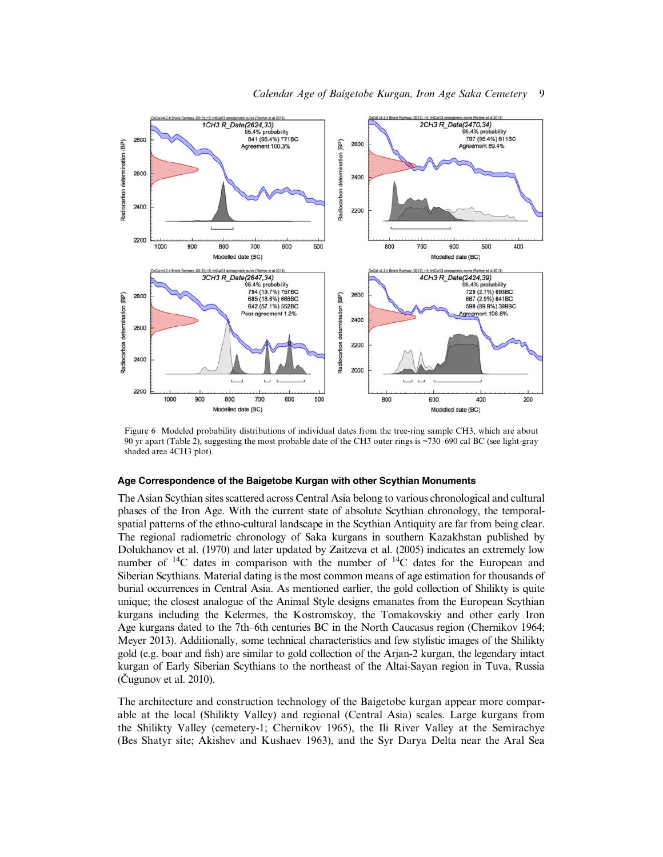<span id="page-8-0"></span>

Figure 6 Modeled probability distributions of individual dates from the tree-ring sample CH3, which are about 90 yr apart ([Table 2\)](#page-6-0), suggesting the most probable date of the CH3 outer rings is ~730–690 cal BC (see light-gray shaded area 4CH3 plot).

#### Age Correspondence of the Baigetobe Kurgan with other Scythian Monuments

The Asian Scythian sites scattered across Central Asia belong to various chronological and cultural phases of the Iron Age. With the current state of absolute Scythian chronology, the temporalspatial patterns of the ethno-cultural landscape in the Scythian Antiquity are far from being clear. The regional radiometric chronology of Saka kurgans in southern Kazakhstan published by Dolukhanov et al. [\(1970](#page-9-0)) and later updated by Zaitzeva et al. (2005) indicates an extremely low number of  $^{14}C$  dates in comparison with the number of  $^{14}C$  dates for the European and Siberian Scythians. Material dating is the most common means of age estimation for thousands of burial occurrences in Central Asia. As mentioned earlier, the gold collection of Shilikty is quite unique; the closest analogue of the Animal Style designs emanates from the European Scythian kurgans including the Kelermes, the Kostromskoy, the Tomakovskiy and other early Iron Age kurgans dated to the 7th–6th centuries BC in the North Caucasus region (Chernikov [1964;](#page-9-0) Meyer [2013](#page-10-0)). Additionally, some technical characteristics and few stylistic images of the Shilikty gold (e.g. boar and fish) are similar to gold collection of the Arjan-2 kurgan, the legendary intact kurgan of Early Siberian Scythians to the northeast of the Altai-Sayan region in Tuva, Russia (Čugunov et al. [2010\)](#page-9-0).

The architecture and construction technology of the Baigetobe kurgan appear more comparable at the local (Shilikty Valley) and regional (Central Asia) scales. Large kurgans from the Shilikty Valley (cemetery-1; Chernikov [1965\)](#page-9-0), the Ili River Valley at the Semirachye (Bes Shatyr site; Akishev and Kushaev [1963](#page-9-0)), and the Syr Darya Delta near the Aral Sea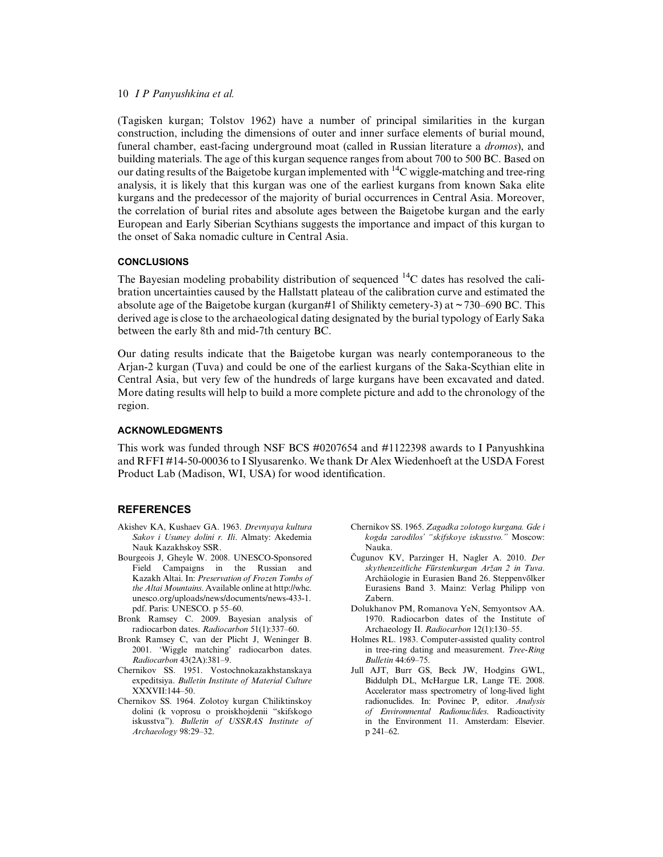<span id="page-9-0"></span>(Tagisken kurgan; Tolstov [1962](#page-10-0)) have a number of principal similarities in the kurgan construction, including the dimensions of outer and inner surface elements of burial mound, funeral chamber, east-facing underground moat (called in Russian literature a *dromos*), and building materials. The age of this kurgan sequence ranges from about 700 to 500 BC. Based on our dating results of the Baigetobe kurgan implemented with  ${}^{14}C$  wiggle-matching and tree-ring analysis, it is likely that this kurgan was one of the earliest kurgans from known Saka elite kurgans and the predecessor of the majority of burial occurrences in Central Asia. Moreover, the correlation of burial rites and absolute ages between the Baigetobe kurgan and the early European and Early Siberian Scythians suggests the importance and impact of this kurgan to the onset of Saka nomadic culture in Central Asia.

## **CONCLUSIONS**

The Bayesian modeling probability distribution of sequenced  $^{14}C$  dates has resolved the calibration uncertainties caused by the Hallstatt plateau of the calibration curve and estimated the absolute age of the Baigetobe kurgan (kurgan#1 of Shilikty cemetery-3) at  $\sim$  730–690 BC. This derived age is close to the archaeological dating designated by the burial typology of Early Saka between the early 8th and mid-7th century BC.

Our dating results indicate that the Baigetobe kurgan was nearly contemporaneous to the Arjan-2 kurgan (Tuva) and could be one of the earliest kurgans of the Saka-Scythian elite in Central Asia, but very few of the hundreds of large kurgans have been excavated and dated. More dating results will help to build a more complete picture and add to the chronology of the region.

## ACKNOWLEDGMENTS

This work was funded through NSF BCS #0207654 and #1122398 awards to I Panyushkina and RFFI #14-50-00036 to I Slyusarenko. We thank Dr Alex Wiedenhoeft at the USDA Forest Product Lab (Madison, WI, USA) for wood identification.

### **REFERENCES**

- Akishev KA, Kushaev GA. 1963. Drevnyaya kultura Sakov i Usuney dolini r. Ili. Almaty: Akedemia Nauk Kazakhskoy SSR.
- Bourgeois J, Gheyle W. 2008. UNESCO-Sponsored Field Campaigns in the Russian and Kazakh Altai. In: Preservation of Frozen Tombs of the Altai Mountains. Available online at [http://whc.](http://whc.unesco.org/uploads/news/documents/news-433-1.pdf) [unesco.org/uploads/news/documents/news-433-1.](http://whc.unesco.org/uploads/news/documents/news-433-1.pdf) [pdf.](http://whc.unesco.org/uploads/news/documents/news-433-1.pdf) Paris: UNESCO. p 55–60.
- Bronk Ramsey C. 2009. Bayesian analysis of radiocarbon dates. Radiocarbon 51(1):337–60.
- Bronk Ramsey C, van der Plicht J, Weninger B. 2001. 'Wiggle matching' radiocarbon dates. Radiocarbon 43(2A):381–9.
- Chernikov SS. 1951. Vostochnokazakhstanskaya expeditsiya. Bulletin Institute of Material Culture XXXVII:144–50.
- Chernikov SS. 1964. Zolotoy kurgan Chiliktinskoy dolini (k voprosu o proiskhojdenii "skifskogo iskusstva"). Bulletin of USSRAS Institute of Archaeology 98:29–32.
- Chernikov SS. 1965. Zagadka zolotogo kurgana. Gde i kogda zarodilos' "skifskoye iskusstvo." Moscow: Nauka.
- Čugunov KV, Parzinger H, Nagler A. 2010. Der skythenzeitliche Fűrstenkurgan Aržan 2 in Tuva. Archäologie in Eurasien Band 26. Steppenvőlker Eurasiens Band 3. Mainz: Verlag Philipp von Zabern.
- Dolukhanov PM, Romanova YeN, Semyontsov AA. 1970. Radiocarbon dates of the Institute of Archaeology II. Radiocarbon 12(1):130–55.
- Holmes RL. 1983. Computer-assisted quality control in tree-ring dating and measurement. Tree-Ring Bulletin 44:69–75.
- Jull AJT, Burr GS, Beck JW, Hodgins GWL, Biddulph DL, McHargue LR, Lange TE. 2008. Accelerator mass spectrometry of long-lived light radionuclides. In: Povinec P, editor. Analysis of Environmental Radionuclides. Radioactivity in the Environment 11. Amsterdam: Elsevier. p 241–62.